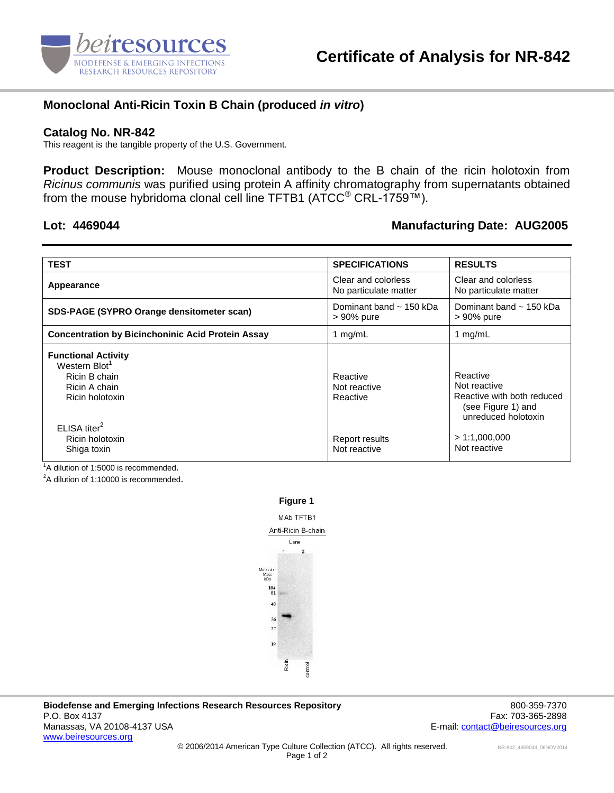

## **Monoclonal Anti-Ricin Toxin B Chain (produced** *in vitro***)**

### **Catalog No. NR-842**

This reagent is the tangible property of the U.S. Government.

**Product Description:** Mouse monoclonal antibody to the B chain of the ricin holotoxin from *Ricinus communis* was purified using protein A affinity chromatography from supernatants obtained from the mouse hybridoma clonal cell line TFTB1 (ATCC<sup>®</sup> CRL-1759™).

### **Lot: 4469044 Manufacturing Date: AUG2005**

| <b>TEST</b>                                                                                                  | <b>SPECIFICATIONS</b>                        | <b>RESULTS</b>                                                                                      |
|--------------------------------------------------------------------------------------------------------------|----------------------------------------------|-----------------------------------------------------------------------------------------------------|
| Appearance                                                                                                   | Clear and colorless<br>No particulate matter | Clear and colorless<br>No particulate matter                                                        |
| SDS-PAGE (SYPRO Orange densitometer scan)                                                                    | Dominant band $\sim$ 150 kDa<br>> 90% pure   | Dominant band $\sim$ 150 kDa<br>> 90% pure                                                          |
| <b>Concentration by Bicinchoninic Acid Protein Assay</b>                                                     | 1 $mg/mL$                                    | 1 $mg/mL$                                                                                           |
| <b>Functional Activity</b><br>Western Blot <sup>1</sup><br>Ricin B chain<br>Ricin A chain<br>Ricin holotoxin | Reactive<br>Not reactive<br>Reactive         | Reactive<br>Not reactive<br>Reactive with both reduced<br>(see Figure 1) and<br>unreduced holotoxin |
| ELISA titer <sup>2</sup><br>Ricin holotoxin<br>Shiga toxin                                                   | Report results<br>Not reactive               | > 1:1,000,000<br>Not reactive                                                                       |

<sup>1</sup>A dilution of 1:5000 is recommended.

 $2A$  dilution of 1:10000 is recommended.



**Biodefense and Emerging Infections Research Resources Repository** 800-359-7370 P.O. Box 4137 Fax: 703-365-2898 Manassas, VA 20108-4137 USA E-mail: [contact@beiresources.org](mailto:contact@beiresources.org) E-mail: contact@beiresources.org [www.beiresources.org](http://www.beiresources.org/)